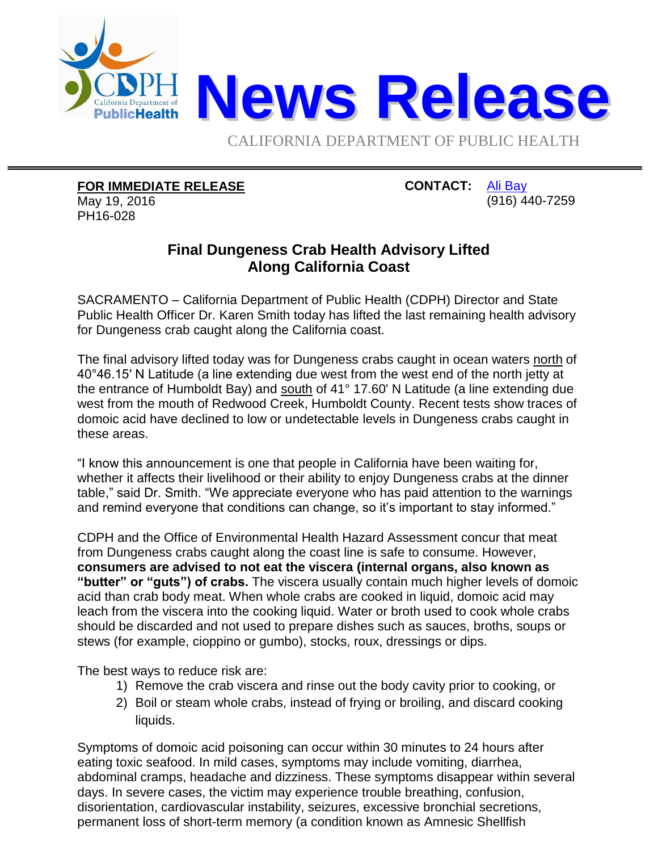

**FOR IMMEDIATE RELEASE**

May 19, 2016 PH16-028

**CONTACT:** [Ali Bay](mailto:Ali.Bay@cdph.ca.gov?subject=News%20release) (916) 440-7259

## **Final Dungeness Crab Health Advisory Lifted Along California Coast**

SACRAMENTO – California Department of Public Health (CDPH) Director and State Public Health Officer Dr. Karen Smith today has lifted the last remaining health advisory for Dungeness crab caught along the California coast.

The final advisory lifted today was for Dungeness crabs caught in ocean waters north of 40°46.15′ N Latitude (a line extending due west from the west end of the north jetty at the entrance of Humboldt Bay) and south of 41° 17.60' N Latitude (a line extending due west from the mouth of Redwood Creek, Humboldt County. Recent tests show traces of domoic acid have declined to low or undetectable levels in Dungeness crabs caught in these areas.

"I know this announcement is one that people in California have been waiting for, whether it affects their livelihood or their ability to enjoy Dungeness crabs at the dinner table," said Dr. Smith. "We appreciate everyone who has paid attention to the warnings and remind everyone that conditions can change, so it's important to stay informed."

CDPH and the Office of Environmental Health Hazard Assessment concur that meat from Dungeness crabs caught along the coast line is safe to consume. However, **consumers are advised to not eat the viscera (internal organs, also known as "butter" or "guts") of crabs.** The viscera usually contain much higher levels of domoic acid than crab body meat. When whole crabs are cooked in liquid, domoic acid may leach from the viscera into the cooking liquid. Water or broth used to cook whole crabs should be discarded and not used to prepare dishes such as sauces, broths, soups or stews (for example, cioppino or gumbo), stocks, roux, dressings or dips.

The best ways to reduce risk are:

- 1) Remove the crab viscera and rinse out the body cavity prior to cooking, or
- 2) Boil or steam whole crabs, instead of frying or broiling, and discard cooking liquids.

Symptoms of domoic acid poisoning can occur within 30 minutes to 24 hours after eating toxic seafood. In mild cases, symptoms may include vomiting, diarrhea, abdominal cramps, headache and dizziness. These symptoms disappear within several days. In severe cases, the victim may experience trouble breathing, confusion, disorientation, cardiovascular instability, seizures, excessive bronchial secretions, permanent loss of short-term memory (a condition known as Amnesic Shellfish